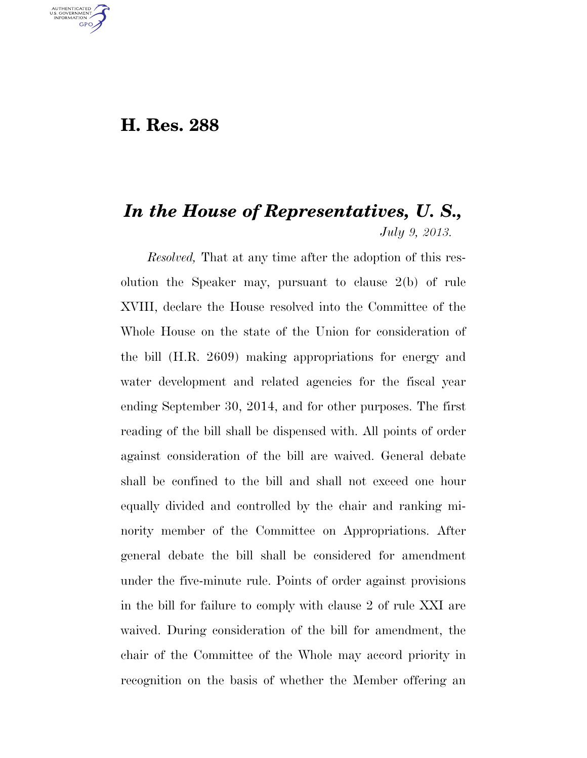## **H. Res. 288**

U.S. GOVERNMENT **GPO** 

## *In the House of Representatives, U. S., July 9, 2013.*

*Resolved,* That at any time after the adoption of this resolution the Speaker may, pursuant to clause 2(b) of rule XVIII, declare the House resolved into the Committee of the Whole House on the state of the Union for consideration of the bill (H.R. 2609) making appropriations for energy and water development and related agencies for the fiscal year ending September 30, 2014, and for other purposes. The first reading of the bill shall be dispensed with. All points of order against consideration of the bill are waived. General debate shall be confined to the bill and shall not exceed one hour equally divided and controlled by the chair and ranking minority member of the Committee on Appropriations. After general debate the bill shall be considered for amendment under the five-minute rule. Points of order against provisions in the bill for failure to comply with clause 2 of rule XXI are waived. During consideration of the bill for amendment, the chair of the Committee of the Whole may accord priority in recognition on the basis of whether the Member offering an